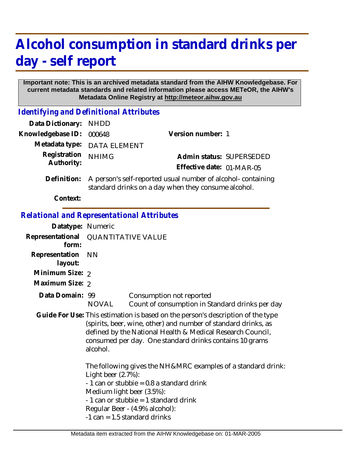## **Alcohol consumption in standard drinks per day - self report**

## **Important note: This is an archived metadata standard from the AIHW Knowledgebase. For current metadata standards and related information please access METeOR, the AIHW's Metadata Online Registry at http://meteor.aihw.gov.au**

*Identifying and Definitional Attributes*

| Data Dictionary:                           | <b>NHDD</b>               |                                                                                                                                                                                                                                                                            |                          |
|--------------------------------------------|---------------------------|----------------------------------------------------------------------------------------------------------------------------------------------------------------------------------------------------------------------------------------------------------------------------|--------------------------|
| Knowledgebase ID:                          | 000648                    | Version number: 1                                                                                                                                                                                                                                                          |                          |
| Metadata type:                             | <b>DATA ELEMENT</b>       |                                                                                                                                                                                                                                                                            |                          |
| Registration                               | <b>NHIMG</b>              |                                                                                                                                                                                                                                                                            | Admin status: SUPERSEDED |
| Authority:                                 |                           | Effective date: 01-MAR-05                                                                                                                                                                                                                                                  |                          |
| Definition:                                |                           | A person's self-reported usual number of alcohol-containing<br>standard drinks on a day when they consume alcohol.                                                                                                                                                         |                          |
| Context:                                   |                           |                                                                                                                                                                                                                                                                            |                          |
| Relational and Representational Attributes |                           |                                                                                                                                                                                                                                                                            |                          |
| Datatype: Numeric                          |                           |                                                                                                                                                                                                                                                                            |                          |
| Representational<br>form:                  | <b>QUANTITATIVE VALUE</b> |                                                                                                                                                                                                                                                                            |                          |
| Representation<br>layout:                  | <b>NN</b>                 |                                                                                                                                                                                                                                                                            |                          |
| Minimum Size: 2                            |                           |                                                                                                                                                                                                                                                                            |                          |
| Maximum Size: 2                            |                           |                                                                                                                                                                                                                                                                            |                          |
| Data Domain: 99                            | <b>NOVAL</b>              | Consumption not reported<br>Count of consumption in Standard drinks per day                                                                                                                                                                                                |                          |
|                                            | alcohol.                  | Guide For Use: This estimation is based on the person's description of the type<br>(spirits, beer, wine, other) and number of standard drinks, as<br>defined by the National Health & Medical Research Council,<br>consumed per day. One standard drinks contains 10 grams |                          |

The following gives the NH&MRC examples of a standard drink: Light beer (2.7%):  $-1$  can or stubbie = 0.8 a standard drink Medium light beer (3.5%): - 1 can or stubbie = 1 standard drink Regular Beer - (4.9% alcohol): -1 can = 1.5 standard drinks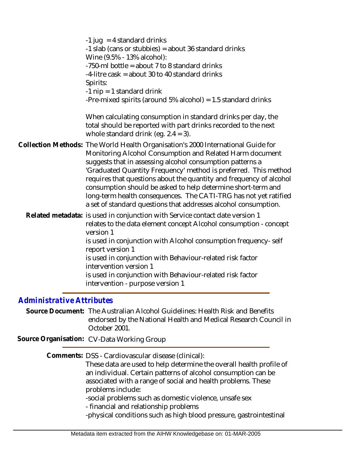| -1 jug = 4 standard drinks<br>-1 slab (cans or stubbies) = about 36 standard drinks<br>Wine (9.5% - 13% alcohol):<br>-750-ml bottle = about 7 to 8 standard drinks<br>-4-litre cask = about 30 to 40 standard drinks<br>Spirits:<br>-1 $nip = 1$ standard drink<br>-Pre-mixed spirits (around $5\%$ alcohol) = 1.5 standard drinks                                                                                                                                                                                                                         |
|------------------------------------------------------------------------------------------------------------------------------------------------------------------------------------------------------------------------------------------------------------------------------------------------------------------------------------------------------------------------------------------------------------------------------------------------------------------------------------------------------------------------------------------------------------|
| When calculating consumption in standard drinks per day, the<br>total should be reported with part drinks recorded to the next<br>whole standard drink (eq. $2.4 = 3$ ).                                                                                                                                                                                                                                                                                                                                                                                   |
| Collection Methods: The World Health Organisation's 2000 International Guide for<br>Monitoring Alcohol Consumption and Related Harm document<br>suggests that in assessing alcohol consumption patterns a<br>'Graduated Quantity Frequency' method is preferred. This method<br>requires that questions about the quantity and frequency of alcohol<br>consumption should be asked to help determine short-term and<br>long-term health consequences. The CATI-TRG has not yet ratified<br>a set of standard questions that addresses alcohol consumption. |
| Related metadata: is used in conjunction with Service contact date version 1<br>relates to the data element concept Alcohol consumption - concept<br>version 1<br>is used in conjunction with Alcohol consumption frequency-self<br>report version 1<br>is used in conjunction with Behaviour-related risk factor<br>intervention version 1<br>is used in conjunction with Behaviour-related risk factor<br>intervention - purpose version 1                                                                                                               |
|                                                                                                                                                                                                                                                                                                                                                                                                                                                                                                                                                            |

## *Administrative Attributes*

Source Document: The Australian Alcohol Guidelines: Health Risk and Benefits endorsed by the National Health and Medical Research Council in October 2001.

**Source Organisation:** CV-Data Working Group

Comments: DSS - Cardiovascular disease (clinical):

These data are used to help determine the overall health profile of an individual. Certain patterns of alcohol consumption can be associated with a range of social and health problems. These problems include:

-social problems such as domestic violence, unsafe sex

- financial and relationship problems

-physical conditions such as high blood pressure, gastrointestinal